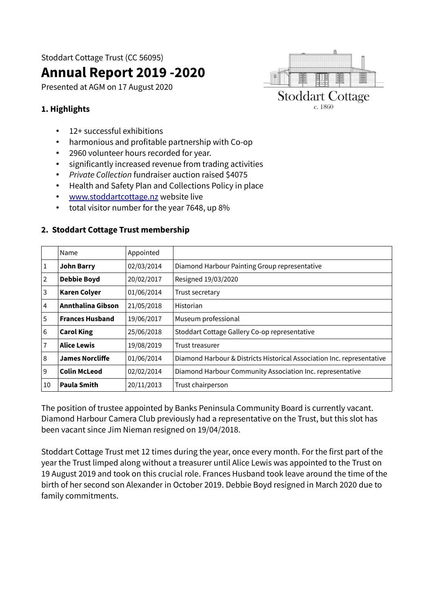Stoddart Cottage Trust (CC 56095)

# **Annual Report 2019 -2020**

Presented at AGM on 17 August 2020



## **1. Highlights**

- 12+ successful exhibitions
- harmonious and profitable partnership with Co-op
- 2960 volunteer hours recorded for year.
- significantly increased revenue from trading activities
- Private Collection fundraiser auction raised \$4075
- Health and Safety Plan and Collections Policy in place
- • [www.stoddartcottage.nz](http://www.stoddartcottage.nz/) website live
- total visitor number for the year 7648, up 8%

|    | Name                   | Appointed  |                                                                        |
|----|------------------------|------------|------------------------------------------------------------------------|
| 1  | <b>John Barry</b>      | 02/03/2014 | Diamond Harbour Painting Group representative                          |
| 2  | <b>Debbie Boyd</b>     | 20/02/2017 | Resigned 19/03/2020                                                    |
| 3  | <b>Karen Colyer</b>    | 01/06/2014 | Trust secretary                                                        |
| 4  | Annthalina Gibson      | 21/05/2018 | Historian                                                              |
| 5  | <b>Frances Husband</b> | 19/06/2017 | Museum professional                                                    |
| 6  | <b>Carol King</b>      | 25/06/2018 | Stoddart Cottage Gallery Co-op representative                          |
| 7  | <b>Alice Lewis</b>     | 19/08/2019 | Trust treasurer                                                        |
| 8  | <b>James Norcliffe</b> | 01/06/2014 | Diamond Harbour & Districts Historical Association Inc. representative |
| 9  | <b>Colin McLeod</b>    | 02/02/2014 | Diamond Harbour Community Association Inc. representative              |
| 10 | <b>Paula Smith</b>     | 20/11/2013 | Trust chairperson                                                      |

#### **2. Stoddart Cottage Trust membership**

The position of trustee appointed by Banks Peninsula Community Board is currently vacant. Diamond Harbour Camera Club previously had a representative on the Trust, but this slot has been vacant since Jim Nieman resigned on 19/04/2018.

Stoddart Cottage Trust met 12 times during the year, once every month. For the first part of the year the Trust limped along without a treasurer until Alice Lewis was appointed to the Trust on 19 August 2019 and took on this crucial role. Frances Husband took leave around the time of the birth of her second son Alexander in October 2019. Debbie Boyd resigned in March 2020 due to family commitments.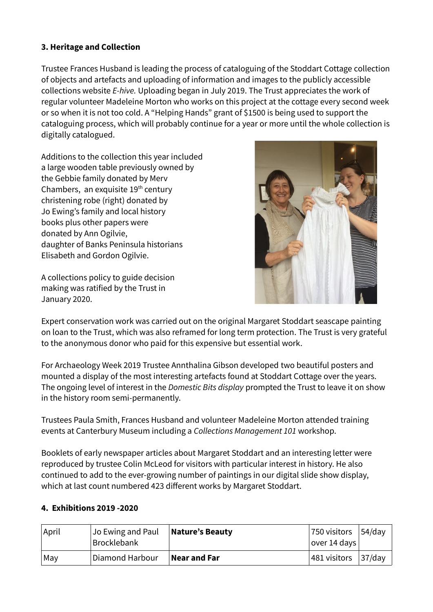## **3. Heritage and Collection**

Trustee Frances Husband is leading the process of cataloguing of the Stoddart Cottage collection of objects and artefacts and uploading of information and images to the publicly accessible collections website E-hive. Uploading began in July 2019. The Trust appreciates the work of regular volunteer Madeleine Morton who works on this project at the cottage every second week or so when it is not too cold. A "Helping Hands" grant of \$1500 is being used to support the cataloguing process, which will probably continue for a year or more until the whole collection is digitally catalogued.

Additions to the collection this year included a large wooden table previously owned by the Gebbie family donated by Merv Chambers, an exquisite  $19<sup>th</sup>$  century christening robe (right) donated by Jo Ewing's family and local history books plus other papers were donated by Ann Ogilvie, daughter of Banks Peninsula historians Elisabeth and Gordon Ogilvie.

A collections policy to guide decision making was ratified by the Trust in January 2020.



Expert conservation work was carried out on the original Margaret Stoddart seascape painting on loan to the Trust, which was also reframed for long term protection. The Trust is very grateful to the anonymous donor who paid for this expensive but essential work.

For Archaeology Week 2019 Trustee Annthalina Gibson developed two beautiful posters and mounted a display of the most interesting artefacts found at Stoddart Cottage over the years. The ongoing level of interest in the Domestic Bits display prompted the Trust to leave it on show in the history room semi-permanently.

Trustees Paula Smith, Frances Husband and volunteer Madeleine Morton attended training events at Canterbury Museum including a Collections Management 101 workshop.

Booklets of early newspaper articles about Margaret Stoddart and an interesting letter were reproduced by trustee Colin McLeod for visitors with particular interest in history. He also continued to add to the ever-growing number of paintings in our digital slide show display, which at last count numbered 423 different works by Margaret Stoddart.

# **4. Exhibitions 2019 -2020**

| April           | Jo Ewing and Paul<br><b>Brocklebank</b> | Nature's Beauty | 750 visitors $ 54/day $<br> over 14 days |  |
|-----------------|-----------------------------------------|-----------------|------------------------------------------|--|
| $\mathsf{M}$ ay | Diamond Harbour                         | Near and Far    | $ 481$ visitors $ 37/d$ ay               |  |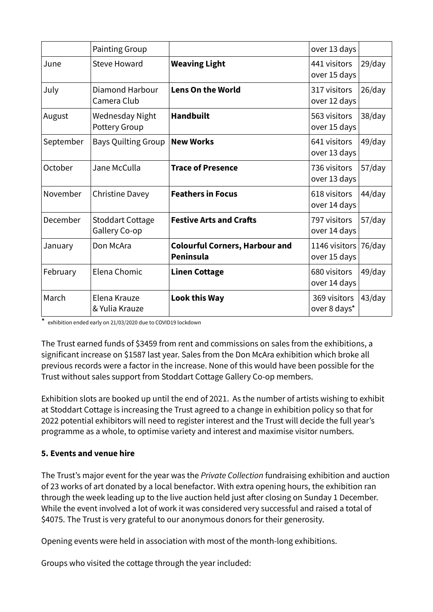|           | <b>Painting Group</b>                    |                                                           | over 13 days                      |           |
|-----------|------------------------------------------|-----------------------------------------------------------|-----------------------------------|-----------|
| June      | Steve Howard                             | <b>Weaving Light</b>                                      | 441 visitors<br>over 15 days      | $29$ /day |
| July      | Diamond Harbour<br>Camera Club           | <b>Lens On the World</b>                                  | 317 visitors<br>over 12 days      | 26/day    |
| August    | Wednesday Night<br><b>Pottery Group</b>  | <b>Handbuilt</b>                                          | 563 visitors<br>over 15 days      | $38$ /day |
| September | <b>Bays Quilting Group</b>               | <b>New Works</b>                                          | 641 visitors<br>over 13 days      | 49/day    |
| October   | Jane McCulla                             | <b>Trace of Presence</b>                                  | 736 visitors<br>over 13 days      | $57$ /day |
| November  | Christine Davey                          | <b>Feathers in Focus</b>                                  | 618 visitors<br>over 14 days      | $44$ /day |
| December  | <b>Stoddart Cottage</b><br>Gallery Co-op | <b>Festive Arts and Crafts</b>                            | 797 visitors<br>over 14 days      | $57$ /day |
| January   | Don McAra                                | <b>Colourful Corners, Harbour and</b><br><b>Peninsula</b> | 1146 visitors $ $<br>over 15 days | 76/day    |
| February  | Elena Chomic                             | <b>Linen Cottage</b>                                      | 680 visitors<br>over 14 days      | $49$ /day |
| March     | Elena Krauze<br>& Yulia Krauze           | <b>Look this Way</b>                                      | 369 visitors<br>over 8 days*      | 43/day    |

\* exhibition ended early on 21/03/2020 due to COVID19 lockdown

The Trust earned funds of \$3459 from rent and commissions on sales from the exhibitions, a significant increase on \$1587 last year. Sales from the Don McAra exhibition which broke all previous records were a factor in the increase. None of this would have been possible for the Trust without sales support from Stoddart Cottage Gallery Co-op members.

Exhibition slots are booked up until the end of 2021. As the number of artists wishing to exhibit at Stoddart Cottage is increasing the Trust agreed to a change in exhibition policy so that for 2022 potential exhibitors will need to register interest and the Trust will decide the full year's programme as a whole, to optimise variety and interest and maximise visitor numbers.

#### **5. Events and venue hire**

The Trust's major event for the year was the Private Collection fundraising exhibition and auction of 23 works of art donated by a local benefactor. With extra opening hours, the exhibition ran through the week leading up to the live auction held just after closing on Sunday 1 December. While the event involved a lot of work it was considered very successful and raised a total of \$4075. The Trust is very grateful to our anonymous donors for their generosity.

Opening events were held in association with most of the month-long exhibitions.

Groups who visited the cottage through the year included: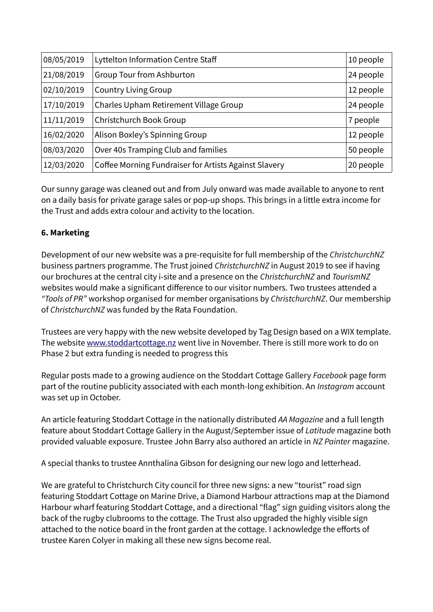| 08/05/2019                              | Lyttelton Information Centre Staff                    | 10 people |
|-----------------------------------------|-------------------------------------------------------|-----------|
| 21/08/2019<br>Group Tour from Ashburton |                                                       | 24 people |
| 02/10/2019                              | <b>Country Living Group</b>                           | 12 people |
| 17/10/2019                              | Charles Upham Retirement Village Group                | 24 people |
| 11/11/2019                              | Christchurch Book Group                               | 7 people  |
| 16/02/2020                              | Alison Boxley's Spinning Group                        | 12 people |
| 08/03/2020                              | Over 40s Tramping Club and families                   | 50 people |
| 12/03/2020                              | Coffee Morning Fundraiser for Artists Against Slavery | 20 people |

Our sunny garage was cleaned out and from July onward was made available to anyone to rent on a daily basis for private garage sales or pop-up shops. This brings in a little extra income for the Trust and adds extra colour and activity to the location.

## **6. Marketing**

Development of our new website was a pre-requisite for full membership of the ChristchurchNZ business partners programme. The Trust joined ChristchurchNZ in August 2019 to see if having our brochures at the central city i-site and a presence on the ChristchurchNZ and TourismNZ websites would make a significant difference to our visitor numbers. Two trustees attended a "Tools of PR" workshop organised for member organisations by ChristchurchNZ. Our membership of ChristchurchNZ was funded by the Rata Foundation.

Trustees are very happy with the new website developed by Tag Design based on a WIX template. The website [www.stoddartcottage.nz](http://www.stoddartcottage.nz/) went live in November. There is still more work to do on Phase 2 but extra funding is needed to progress this

Regular posts made to a growing audience on the Stoddart Cottage Gallery Facebook page form part of the routine publicity associated with each month-long exhibition. An *Instagram* account was set up in October.

An article featuring Stoddart Cottage in the nationally distributed AA Magazine and a full length feature about Stoddart Cottage Gallery in the August/September issue of Latitude magazine both provided valuable exposure. Trustee John Barry also authored an article in NZ Painter magazine.

A special thanks to trustee Annthalina Gibson for designing our new logo and letterhead.

We are grateful to Christchurch City council for three new signs: a new "tourist" road sign featuring Stoddart Cottage on Marine Drive, a Diamond Harbour attractions map at the Diamond Harbour wharf featuring Stoddart Cottage, and a directional "flag" sign guiding visitors along the back of the rugby clubrooms to the cottage. The Trust also upgraded the highly visible sign attached to the notice board in the front garden at the cottage. I acknowledge the efforts of trustee Karen Colyer in making all these new signs become real.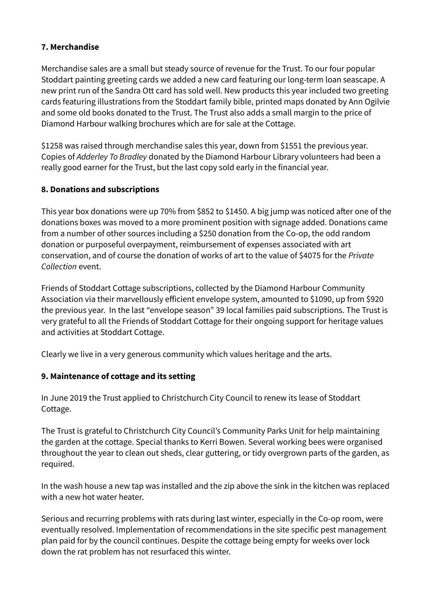#### **7. Merchandise**

Merchandise sales are a small but steady source of revenue for the Trust. To our four popular Stoddart painting greeting cards we added a new card featuring our long-term loan seascape. A new print run of the Sandra Ott card has sold well. New products this year included two greeting cards featuring illustrations from the Stoddart family bible, printed maps donated by Ann Ogilvie and some old books donated to the Trust. The Trust also adds a small margin to the price of Diamond Harbour walking brochures which are for sale at the Cottage.

\$1258 was raised through merchandise sales this year, down from \$1551 the previous year. Copies of Adderley To Bradley donated by the Diamond Harbour Library volunteers had been a really good earner for the Trust, but the last copy sold early in the financial year.

## **8. Donations and subscriptions**

This year box donations were up 70% from \$852 to \$1450. A big jump was noticed after one of the donations boxes was moved to a more prominent position with signage added. Donations came from a number of other sources including a \$250 donation from the Co-op, the odd random donation or purposeful overpayment, reimbursement of expenses associated with art conservation, and of course the donation of works of art to the value of \$4075 for the Private Collection event.

Friends of Stoddart Cottage subscriptions, collected by the Diamond Harbour Community Association via their marvellously efficient envelope system, amounted to \$1090, up from \$920 the previous year. In the last "envelope season" 39 local families paid subscriptions. The Trust is very grateful to all the Friends of Stoddart Cottage for their ongoing support for heritage values and activities at Stoddart Cottage.

Clearly we live in a very generous community which values heritage and the arts.

#### **9. Maintenance of cottage and its setting**

In June 2019 the Trust applied to Christchurch City Council to renew its lease of Stoddart Cottage.

The Trust is grateful to Christchurch City Council's Community Parks Unit for help maintaining the garden at the cottage. Special thanks to Kerri Bowen. Several working bees were organised throughout the year to clean out sheds, clear guttering, or tidy overgrown parts of the garden, as required.

In the wash house a new tap was installed and the zip above the sink in the kitchen was replaced with a new hot water heater.

Serious and recurring problems with rats during last winter, especially in the Co-op room, were eventually resolved. Implementation of recommendations in the site specific pest management plan paid for by the council continues. Despite the cottage being empty for weeks over lock down the rat problem has not resurfaced this winter.